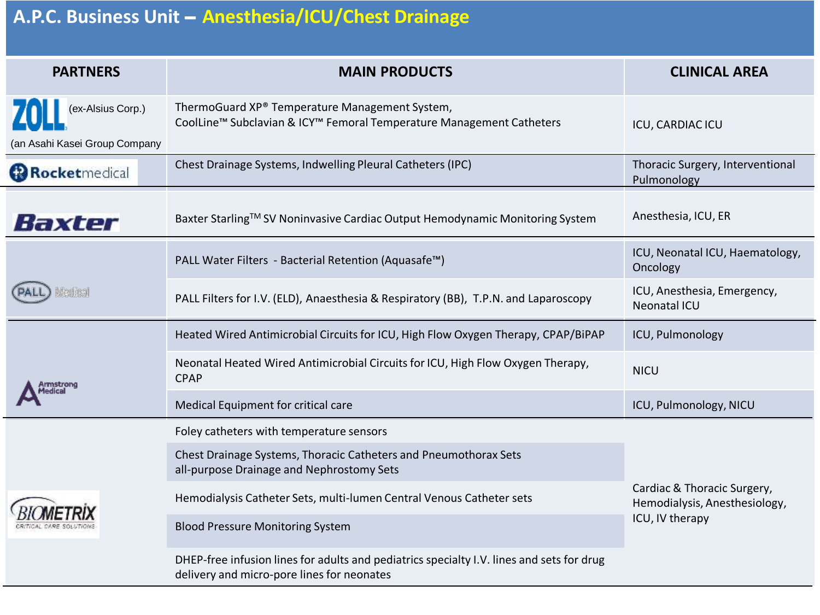## **A.P.C. Business Unit** – **Anesthesia/ICU/Chest Drainage**

| <b>PARTNERS</b>                                    | <b>MAIN PRODUCTS</b>                                                                                                                    | <b>CLINICAL AREA</b>                                                            |
|----------------------------------------------------|-----------------------------------------------------------------------------------------------------------------------------------------|---------------------------------------------------------------------------------|
| (ex-Alsius Corp.)<br>(an Asahi Kasei Group Company | ThermoGuard XP® Temperature Management System,<br>CoolLine™ Subclavian & ICY™ Femoral Temperature Management Catheters                  | ICU, CARDIAC ICU                                                                |
| <b>Rocketmedical</b>                               | Chest Drainage Systems, Indwelling Pleural Catheters (IPC)                                                                              | Thoracic Surgery, Interventional<br>Pulmonology                                 |
| Baxter                                             | Baxter Starling™ SV Noninvasive Cardiac Output Hemodynamic Monitoring System                                                            | Anesthesia, ICU, ER                                                             |
| Medical                                            | PALL Water Filters - Bacterial Retention (Aquasafe™)                                                                                    | ICU, Neonatal ICU, Haematology,<br>Oncology                                     |
|                                                    | PALL Filters for I.V. (ELD), Anaesthesia & Respiratory (BB), T.P.N. and Laparoscopy                                                     | ICU, Anesthesia, Emergency,<br>Neonatal ICU                                     |
|                                                    | Heated Wired Antimicrobial Circuits for ICU, High Flow Oxygen Therapy, CPAP/BiPAP                                                       | ICU, Pulmonology                                                                |
|                                                    | Neonatal Heated Wired Antimicrobial Circuits for ICU, High Flow Oxygen Therapy,<br><b>CPAP</b>                                          | <b>NICU</b>                                                                     |
|                                                    | Medical Equipment for critical care                                                                                                     | ICU, Pulmonology, NICU                                                          |
|                                                    | Foley catheters with temperature sensors                                                                                                | Cardiac & Thoracic Surgery,<br>Hemodialysis, Anesthesiology,<br>ICU, IV therapy |
|                                                    | Chest Drainage Systems, Thoracic Catheters and Pneumothorax Sets<br>all-purpose Drainage and Nephrostomy Sets                           |                                                                                 |
|                                                    | Hemodialysis Catheter Sets, multi-lumen Central Venous Catheter sets                                                                    |                                                                                 |
|                                                    | <b>Blood Pressure Monitoring System</b>                                                                                                 |                                                                                 |
|                                                    | DHEP-free infusion lines for adults and pediatrics specialty I.V. lines and sets for drug<br>delivery and micro-pore lines for neonates |                                                                                 |